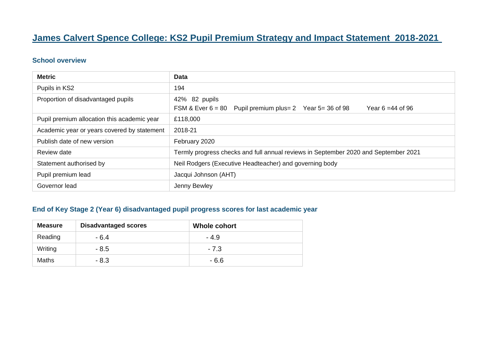# **James Calvert Spence College: KS2 Pupil Premium Strategy and Impact Statement 2018-2021**

#### **School overview**

| <b>Metric</b>                               | <b>Data</b>                                                                                             |  |  |
|---------------------------------------------|---------------------------------------------------------------------------------------------------------|--|--|
| Pupils in KS2                               | 194                                                                                                     |  |  |
| Proportion of disadvantaged pupils          | 42% 82 pupils<br>$FSM$ & Ever $6 = 80$<br>Pupil premium plus = 2 Year 5 = 36 of 98<br>Year 6 = 44 of 96 |  |  |
| Pupil premium allocation this academic year | £118,000                                                                                                |  |  |
| Academic year or years covered by statement | 2018-21                                                                                                 |  |  |
| Publish date of new version                 | February 2020                                                                                           |  |  |
| Review date                                 | Termly progress checks and full annual reviews in September 2020 and September 2021                     |  |  |
| Statement authorised by                     | Neil Rodgers (Executive Headteacher) and governing body                                                 |  |  |
| Pupil premium lead                          | Jacqui Johnson (AHT)                                                                                    |  |  |
| Governor lead                               | Jenny Bewley                                                                                            |  |  |

#### **End of Key Stage 2 (Year 6) disadvantaged pupil progress scores for last academic year**

| <b>Measure</b> | <b>Disadvantaged scores</b> | <b>Whole cohort</b> |
|----------------|-----------------------------|---------------------|
| Reading        | $-6.4$                      | $-4.9$              |
| Writing        | $-8.5$                      | $-7.3$              |
| <b>Maths</b>   | $-8.3$                      | $-6.6$              |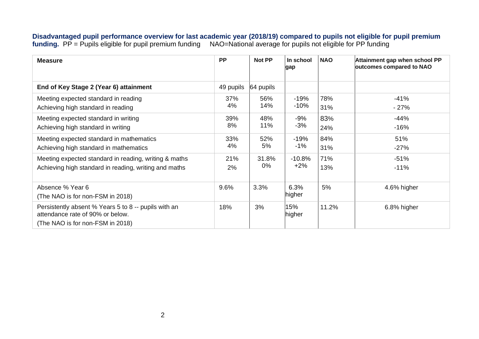**Disadvantaged pupil performance overview for last academic year (2018/19) compared to pupils not eligible for pupil premium funding.** PP = Pupils eligible for pupil premium funding NAO=National average for pupils not eligible for PP funding

| <b>Measure</b>                                                                                                               | <b>PP</b> | Not PP    | In school<br>gap | <b>NAO</b> | Attainment gap when school PP<br>outcomes compared to NAO |
|------------------------------------------------------------------------------------------------------------------------------|-----------|-----------|------------------|------------|-----------------------------------------------------------|
| End of Key Stage 2 (Year 6) attainment                                                                                       | 49 pupils | 64 pupils |                  |            |                                                           |
| Meeting expected standard in reading                                                                                         | 37%       | 56%       | $-19%$           | 78%        | $-41%$                                                    |
| Achieving high standard in reading                                                                                           | 4%        | 14%       | $-10%$           | 31%        | $-27%$                                                    |
| Meeting expected standard in writing                                                                                         | 39%       | 48%       | $-9%$            | 83%        | $-44%$                                                    |
| Achieving high standard in writing                                                                                           | 8%        | 11%       | $-3%$            | 24%        | $-16%$                                                    |
| Meeting expected standard in mathematics                                                                                     | 33%       | 52%       | $-19%$           | 84%        | 51%                                                       |
| Achieving high standard in mathematics                                                                                       | 4%        | 5%        | $-1%$            | 31%        | $-27%$                                                    |
| Meeting expected standard in reading, writing & maths                                                                        | 21%       | 31.8%     | $-10.8%$         | 71%        | $-51%$                                                    |
| Achieving high standard in reading, writing and maths                                                                        | 2%        | 0%        | $+2%$            | 13%        | $-11%$                                                    |
| Absence % Year 6<br>(The NAO is for non-FSM in 2018)                                                                         | 9.6%      | 3.3%      | 6.3%<br>higher   | 5%         | 4.6% higher                                               |
| Persistently absent % Years 5 to 8 -- pupils with an<br>attendance rate of 90% or below.<br>(The NAO is for non-FSM in 2018) | 18%       | 3%        | 15%<br>higher    | 11.2%      | 6.8% higher                                               |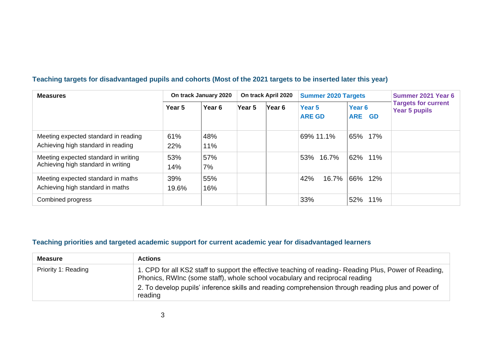#### **Teaching targets for disadvantaged pupils and cohorts (Most of the 2021 targets to be inserted later this year)**

| <b>Measures</b>                                                            | On track January 2020 |                   | On track April 2020 |        | <b>Summer 2020 Targets</b>         |                                       | Summer 2021 Year 6                                 |
|----------------------------------------------------------------------------|-----------------------|-------------------|---------------------|--------|------------------------------------|---------------------------------------|----------------------------------------------------|
|                                                                            | Year <sub>5</sub>     | Year <sub>6</sub> | Year 5              | Year 6 | Year <sub>5</sub><br><b>ARE GD</b> | Year <sub>6</sub><br><b>ARE</b><br>GD | <b>Targets for current</b><br><b>Year 5 pupils</b> |
| Meeting expected standard in reading<br>Achieving high standard in reading | 61%<br>22%            | 48%<br>11%        |                     |        | 69% 11.1%                          | 17%<br>65%                            |                                                    |
| Meeting expected standard in writing<br>Achieving high standard in writing | 53%<br>14%            | 57%<br>7%         |                     |        | 53% 16.7%                          | 62% 11%                               |                                                    |
| Meeting expected standard in maths<br>Achieving high standard in maths     | 39%<br>19.6%          | 55%<br>16%        |                     |        | 42%<br>16.7%                       | 66%<br>12%                            |                                                    |
| Combined progress                                                          |                       |                   |                     |        | 33%                                | 11%<br>52%                            |                                                    |

## **Teaching priorities and targeted academic support for current academic year for disadvantaged learners**

| <b>Measure</b>      | <b>Actions</b>                                                                                                                                                                                                                                                                                         |
|---------------------|--------------------------------------------------------------------------------------------------------------------------------------------------------------------------------------------------------------------------------------------------------------------------------------------------------|
| Priority 1: Reading | 1. CPD for all KS2 staff to support the effective teaching of reading- Reading Plus, Power of Reading,<br>Phonics, RWInc (some staff), whole school vocabulary and reciprocal reading<br>2. To develop pupils' inference skills and reading comprehension through reading plus and power of<br>reading |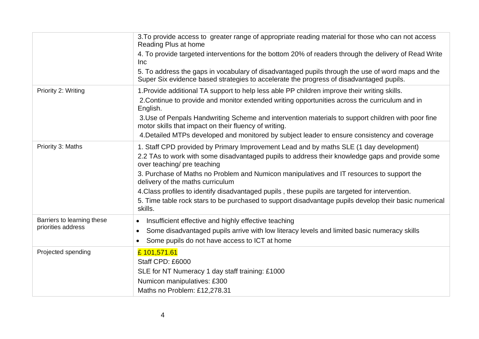|                            | 3. To provide access to greater range of appropriate reading material for those who can not access<br>Reading Plus at home                                                                   |
|----------------------------|----------------------------------------------------------------------------------------------------------------------------------------------------------------------------------------------|
|                            | 4. To provide targeted interventions for the bottom 20% of readers through the delivery of Read Write<br>Inc                                                                                 |
|                            | 5. To address the gaps in vocabulary of disadvantaged pupils through the use of word maps and the<br>Super Six evidence based strategies to accelerate the progress of disadvantaged pupils. |
| Priority 2: Writing        | 1. Provide additional TA support to help less able PP children improve their writing skills.                                                                                                 |
|                            | 2. Continue to provide and monitor extended writing opportunities across the curriculum and in<br>English.                                                                                   |
|                            | 3. Use of Penpals Handwriting Scheme and intervention materials to support children with poor fine<br>motor skills that impact on their fluency of writing.                                  |
|                            | 4. Detailed MTPs developed and monitored by subject leader to ensure consistency and coverage                                                                                                |
| Priority 3: Maths          | 1. Staff CPD provided by Primary Improvement Lead and by maths SLE (1 day development)                                                                                                       |
|                            | 2.2 TAs to work with some disadvantaged pupils to address their knowledge gaps and provide some<br>over teaching/ pre teaching                                                               |
|                            | 3. Purchase of Maths no Problem and Numicon manipulatives and IT resources to support the<br>delivery of the maths curriculum                                                                |
|                            | 4. Class profiles to identify disadvantaged pupils, these pupils are targeted for intervention.                                                                                              |
|                            | 5. Time table rock stars to be purchased to support disadvantage pupils develop their basic numerical<br>skills.                                                                             |
| Barriers to learning these | Insufficient effective and highly effective teaching                                                                                                                                         |
| priorities address         | Some disadvantaged pupils arrive with low literacy levels and limited basic numeracy skills                                                                                                  |
|                            | Some pupils do not have access to ICT at home<br>$\bullet$                                                                                                                                   |
| Projected spending         | £101,571.61                                                                                                                                                                                  |
|                            | Staff CPD: £6000                                                                                                                                                                             |
|                            | SLE for NT Numeracy 1 day staff training: £1000                                                                                                                                              |
|                            | Numicon manipulatives: £300                                                                                                                                                                  |
|                            | Maths no Problem: £12,278.31                                                                                                                                                                 |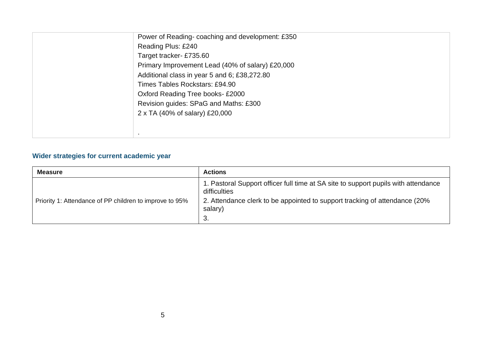| Power of Reading-coaching and development: £350  |
|--------------------------------------------------|
| Reading Plus: £240                               |
| Target tracker- £735.60                          |
| Primary Improvement Lead (40% of salary) £20,000 |
| Additional class in year 5 and 6; £38,272.80     |
| Times Tables Rockstars: £94.90                   |
| Oxford Reading Tree books-£2000                  |
| Revision guides: SPaG and Maths: £300            |
| 2 x TA (40% of salary) £20,000                   |
|                                                  |
|                                                  |

### **Wider strategies for current academic year**

| <b>Measure</b>                                          | <b>Actions</b>                                                                                     |
|---------------------------------------------------------|----------------------------------------------------------------------------------------------------|
|                                                         | 1. Pastoral Support officer full time at SA site to support pupils with attendance<br>difficulties |
| Priority 1: Attendance of PP children to improve to 95% | 2. Attendance clerk to be appointed to support tracking of attendance (20%)<br>salary)<br>-3.      |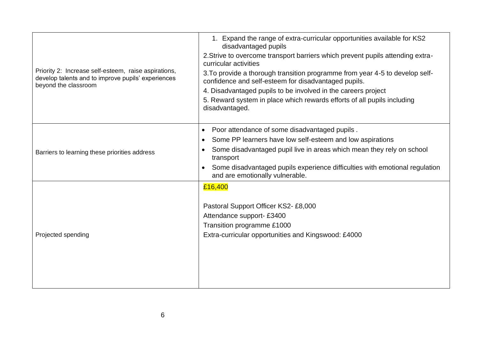| Priority 2: Increase self-esteem, raise aspirations,<br>develop talents and to improve pupils' experiences<br>beyond the classroom | 1. Expand the range of extra-curricular opportunities available for KS2<br>disadvantaged pupils<br>2. Strive to overcome transport barriers which prevent pupils attending extra-<br>curricular activities<br>3. To provide a thorough transition programme from year 4-5 to develop self-<br>confidence and self-esteem for disadvantaged pupils.<br>4. Disadvantaged pupils to be involved in the careers project<br>5. Reward system in place which rewards efforts of all pupils including<br>disadvantaged. |
|------------------------------------------------------------------------------------------------------------------------------------|------------------------------------------------------------------------------------------------------------------------------------------------------------------------------------------------------------------------------------------------------------------------------------------------------------------------------------------------------------------------------------------------------------------------------------------------------------------------------------------------------------------|
| Barriers to learning these priorities address                                                                                      | Poor attendance of some disadvantaged pupils.<br>$\bullet$<br>Some PP learners have low self-esteem and low aspirations<br>$\bullet$<br>Some disadvantaged pupil live in areas which mean they rely on school<br>transport<br>Some disadvantaged pupils experience difficulties with emotional regulation<br>and are emotionally vulnerable.                                                                                                                                                                     |
| Projected spending                                                                                                                 | £16,400<br>Pastoral Support Officer KS2-£8,000<br>Attendance support- £3400<br>Transition programme £1000<br>Extra-curricular opportunities and Kingswood: £4000                                                                                                                                                                                                                                                                                                                                                 |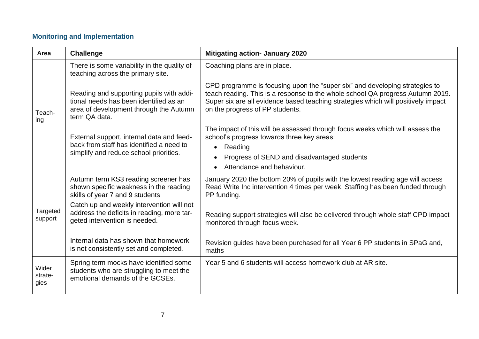## **Monitoring and Implementation**

| Area                     | <b>Challenge</b>                                                                                                                              | <b>Mitigating action- January 2020</b>                                                                                                                                                                                                                                                |
|--------------------------|-----------------------------------------------------------------------------------------------------------------------------------------------|---------------------------------------------------------------------------------------------------------------------------------------------------------------------------------------------------------------------------------------------------------------------------------------|
|                          | There is some variability in the quality of<br>teaching across the primary site.                                                              | Coaching plans are in place.                                                                                                                                                                                                                                                          |
| Teach-<br>ing            | Reading and supporting pupils with addi-<br>tional needs has been identified as an<br>area of development through the Autumn<br>term QA data. | CPD programme is focusing upon the "super six" and developing strategies to<br>teach reading. This is a response to the whole school QA progress Autumn 2019.<br>Super six are all evidence based teaching strategies which will positively impact<br>on the progress of PP students. |
|                          | External support, internal data and feed-                                                                                                     | The impact of this will be assessed through focus weeks which will assess the<br>school's progress towards three key areas:                                                                                                                                                           |
|                          | back from staff has identified a need to<br>simplify and reduce school priorities.                                                            | Reading<br>$\bullet$                                                                                                                                                                                                                                                                  |
|                          |                                                                                                                                               | Progress of SEND and disadvantaged students                                                                                                                                                                                                                                           |
|                          |                                                                                                                                               | Attendance and behaviour.<br>$\bullet$                                                                                                                                                                                                                                                |
|                          | Autumn term KS3 reading screener has<br>shown specific weakness in the reading<br>skills of year 7 and 9 students                             | January 2020 the bottom 20% of pupils with the lowest reading age will access<br>Read Write Inc intervention 4 times per week. Staffing has been funded through<br>PP funding.                                                                                                        |
| Targeted<br>support      | Catch up and weekly intervention will not<br>address the deficits in reading, more tar-<br>geted intervention is needed.                      | Reading support strategies will also be delivered through whole staff CPD impact<br>monitored through focus week.                                                                                                                                                                     |
|                          | Internal data has shown that homework<br>is not consistently set and completed.                                                               | Revision guides have been purchased for all Year 6 PP students in SPaG and,<br>maths                                                                                                                                                                                                  |
| Wider<br>strate-<br>gies | Spring term mocks have identified some<br>students who are struggling to meet the<br>emotional demands of the GCSEs.                          | Year 5 and 6 students will access homework club at AR site.                                                                                                                                                                                                                           |